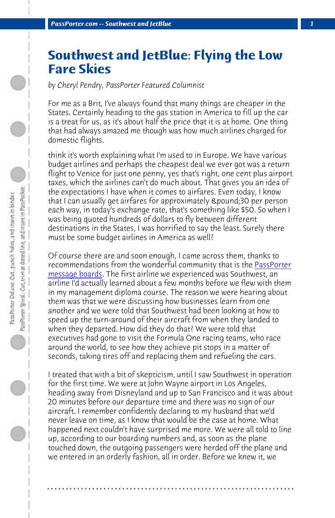*PassPorter.com -- Southwest and JetBlue 1*

## **Southwest and JetBlue: Flying the Low Fare Skies**

*by Cheryl Pendry, PassPorter Featured Columnist*

For me as a Brit, I've always found that many things are cheaper in the States. Certainly heading to the gas station in America to fill [up the car](http://www.passporterboards.com/forums/) [is a treat for us,](http://www.passporterboards.com/forums/) as it's about half the price that it is at home. One thing that had always amazed me though was how much airlines charged for domestic flights.

think it's worth explaining what I'm used to in Europe. We have various budget airlines and perhaps the cheapest deal we ever got was a return flight to Venice for just one penny, yes that's right, one cent plus airport taxes, which the airlines can't do much about. That gives you an idea of the expectations I have when it comes to airfares. Even today, I know that I can usually get airfares for approximately £30 per person each way, in today's exchange rate, that's something like \$50. So when I was being quoted hundreds of dollars to fly between different destinations in the States, I was horrified to say the least. Surely there must be some budget airlines in America as well?

Of course there are and soon enough, I came across them, thanks to recommendations from the wonderful community that is the PassPorter message boards. The first airline we experienced was Southwest, an airline I'd actually learned about a few months before we flew with them in my management diploma course. The reason we were hearing about them was that we were discussing how businesses learn from one another and we were told that Southwest had been looking at how to speed up the turn-around of their aircraft from when they landed to when they departed. How did they do that? We were told that executives had gone to visit the Formula One racing teams, who race around the world, to see how they achieve pit stops in a matter of seconds, taking tires off and replacing them and refueling the cars.

I treated that with a bit of skepticism, until I saw Southwest in operation for the first time. We were at John Wayne airport in Los Angeles, heading away from Disneyland and up to San Francisco and it was about 20 minutes before our departure time and there was no sign of our aircraft. I remember confidently declaring to my husband that we'd never leave on time, as I know that would be the case at home. What happened next couldn't have surprised me more. We were all told to line up, according to our boarding numbers and, as soon as the plane touched down, the outgoing passengers were herded off the plane and we entered in an orderly fashion, all in order. Before we knew it, we

**. . . . . . . . . . . . . . . . . . . . . . . . . . . . . . . . . . . . . . . . . . . . . . . . . . . . . . . . . . . . . . . . . .**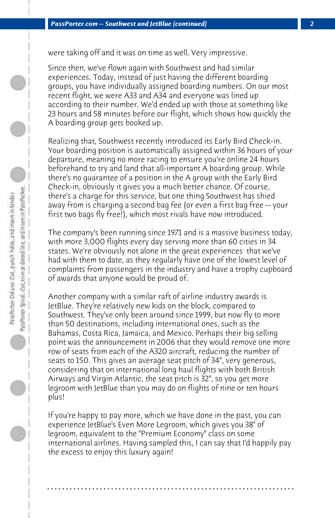were taking off and it was on time as well. Very impressive.

Since then, we've flown again with Southwest and had similar experiences. Today, instead of just having the different boarding groups, you have individually assigned boarding numbers. On our most recent flight, we were A33 and A34 and everyone was lined up according to their number. We'd ended up with those at something like 23 hours and 58 minutes before our flight, which shows how quickly the A boarding group gets booked up.

Realizing that, Southwest recently introduced its Early Bird Check-in. Your boarding position is automatically assigned within 36 hours of your departure, meaning no more racing to ensure you're online 24 hours beforehand to try and land that all-important A boarding group. While there's no guarantee of a position in the A group with the Early Bird Check-in, obviously it gives you a much better chance. Of course, there's a charge for this service, but one thing Southwest has shied away from is charging a second bag fee (or even a first bag free -- your first two bags fly free!), which most rivals have now introduced.

The company's been running since 1971 and is a massive business today, with more 3,000 flights every day serving more than 60 cities in 34 states. We're obviously not alone in the great experiences that we've had with them to date, as they regularly have one of the lowest level of complaints from passengers in the industry and have a trophy cupboard of awards that anyone would be proud of.

Another company with a similar raft of airline industry awards is JetBlue. They're relatively new kids on the block, compared to Southwest. They've only been around since 1999, but now fly to more than 50 destinations, including international ones, such as the Bahamas, Costa Rica, Jamaica, and Mexico. Perhaps their big selling point was the announcement in 2006 that they would remove one more row of seats from each of the A320 aircraft, reducing the number of seats to 150. This gives an average seat pitch of 34", very generous, considering that on international long haul flights with both British Airways and Virgin Atlantic, the seat pitch is 32", so you get more legroom with JetBlue than you may do on flights of nine or ten hours plus!

If you're happy to pay more, which we have done in the past, you can experience JetBlue's Even More Legroom, which gives you 38" of legroom, equivalent to the "Premium Economy" class on some international airlines. Having sampled this, I can say that I'd happily pay the excess to enjoy this luxury again!

**. . . . . . . . . . . . . . . . . . . . . . . . . . . . . . . . . . . . . . . . . . . . . . . . . . . . . . . . . . . . . . . . . .**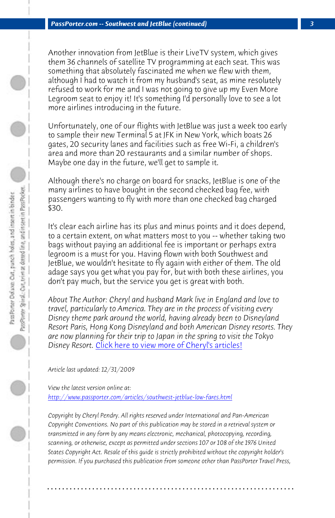*PassPorter.com -- Southwest and JetBlue (continued) 3*

more airlines introducing in the future.

Another innovation from JetBlue is their LiveTV system, which gives them 36 channels of satellite TV programming at each seat. This was something that absolutely fascinated me when we flew with them, although I had to watch it from my husband's seat, as mine resolutely refused to work for me and I was not going to give up my Even More Legroom seat to enjoy it! It's something I'd personally love to see a lot

Unfortunately, one of our flights with JetBlue was just a week too early to sample their new Terminal 5 at JFK in New York, which boats 26 gates, 20 security lanes and facilities such as free Wi-Fi, a children's area and more than 20 restaurants and a similar number of shops. Maybe one day in the future, we'll get to sample it.

Although there's no charge on board for snacks, JetBlue is one of the many airlines [to have bought in the second checked bag fe](http://www.passporter.com/articles/cheryl-pendry-featured-columnist.asp)e, with passengers wanting to fly with more than one checked bag charged \$30.

It's clear each airline has its plus and minus points and it does depend, to a certain extent, on what matters most to you -- whether taking two [bags without paying an additional fee is important or p](http://www.passporter.com/articles/southwest-jetblue-low-fares.php)erhaps extra legroom is a must for you. Having flown with both Southwest and JetBlue, we wouldn't hesitate to fly again with either of them. The old adage says you get what you pay for, but with both these airlines, you don't pay much, but the service you get is great with both.

*About The Author: Cheryl and husband Mark live in England and love to travel, particularly to America. They are in the process of visiting every Disney theme park around the world, having already been to Disneyland Resort Paris, Hong Kong Disneyland and both American Disney resorts. They are now planning for their trip to Japan in the spring to visit the Tokyo Disney Resort.* Click here to view more of Cheryl's articles!

*Article last updated: 12/31/2009*

*View the latest version online at: http://www.passporter.com/articles/southwest-jetblue-low-fares.html*

*Copyright by Cheryl Pendry. All rights reserved under International and Pan-American Copyright Conventions. No part of this publication may be stored in a retrieval system or transmitted in any form by any means electronic, mechanical, photocopying, recording, scanning, or otherwise, except as permitted under sections 107 or 108 of the 1976 United States Copyright Act. Resale of this guide is strictly prohibited without the copyright holder's permission. If you purchased this publication from someone other than PassPorter Travel Press,*

**. . . . . . . . . . . . . . . . . . . . . . . . . . . . . . . . . . . . . . . . . . . . . . . . . . . . . . . . . . . . . . . . . .**